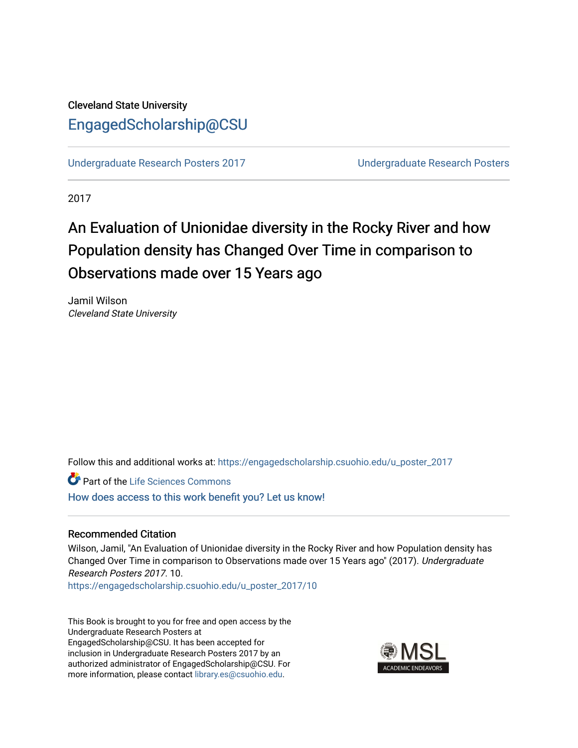## Cleveland State University [EngagedScholarship@CSU](https://engagedscholarship.csuohio.edu/)

[Undergraduate Research Posters 2017](https://engagedscholarship.csuohio.edu/u_poster_2017) [Undergraduate Research Posters](https://engagedscholarship.csuohio.edu/u_poster) 

2017

# An Evaluation of Unionidae diversity in the Rocky River and how Population density has Changed Over Time in comparison to Observations made over 15 Years ago

Jamil Wilson Cleveland State University

Follow this and additional works at: [https://engagedscholarship.csuohio.edu/u\\_poster\\_2017](https://engagedscholarship.csuohio.edu/u_poster_2017?utm_source=engagedscholarship.csuohio.edu%2Fu_poster_2017%2F10&utm_medium=PDF&utm_campaign=PDFCoverPages) 

Part of the [Life Sciences Commons](http://network.bepress.com/hgg/discipline/1016?utm_source=engagedscholarship.csuohio.edu%2Fu_poster_2017%2F10&utm_medium=PDF&utm_campaign=PDFCoverPages) 

[How does access to this work benefit you? Let us know!](http://library.csuohio.edu/engaged/)

#### Recommended Citation

Wilson, Jamil, "An Evaluation of Unionidae diversity in the Rocky River and how Population density has Changed Over Time in comparison to Observations made over 15 Years ago" (2017). Undergraduate Research Posters 2017. 10.

[https://engagedscholarship.csuohio.edu/u\\_poster\\_2017/10](https://engagedscholarship.csuohio.edu/u_poster_2017/10?utm_source=engagedscholarship.csuohio.edu%2Fu_poster_2017%2F10&utm_medium=PDF&utm_campaign=PDFCoverPages) 

This Book is brought to you for free and open access by the Undergraduate Research Posters at EngagedScholarship@CSU. It has been accepted for inclusion in Undergraduate Research Posters 2017 by an authorized administrator of EngagedScholarship@CSU. For more information, please contact [library.es@csuohio.edu](mailto:library.es@csuohio.edu).